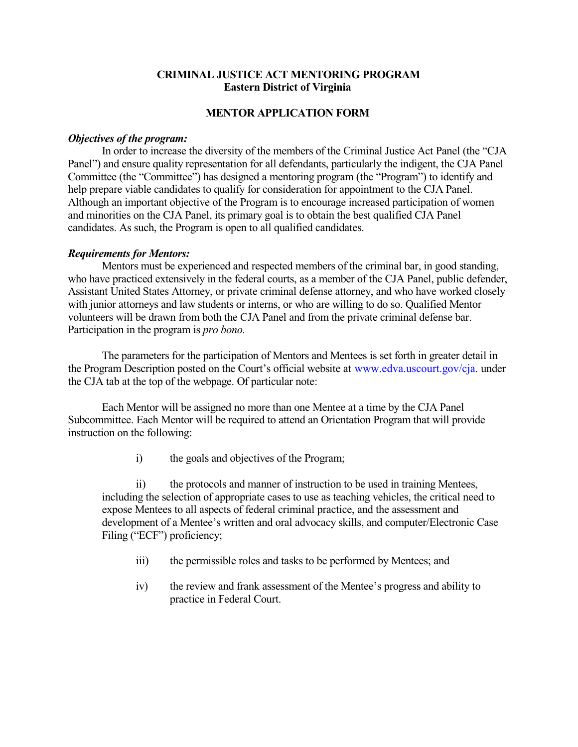## **CRIMINAL JUSTICE ACT MENTORING PROGRAM Eastern District of Virginia**

## **MENTOR APPLICATION FORM**

## *Objectives of the program:*

In order to increase the diversity of the members of the Criminal Justice Act Panel (the "CJA Panel") and ensure quality representation for all defendants, particularly the indigent, the CJA Panel Committee (the "Committee") has designed a mentoring program (the "Program") to identify and help prepare viable candidates to qualify for consideration for appointment to the CJA Panel. Although an important objective of the Program is to encourage increased participation of women and minorities on the CJA Panel, its primary goal is to obtain the best qualified CJA Panel candidates. As such, the Program is open to all qualified candidates.

## *Requirements for Mentors:*

Mentors must be experienced and respected members of the criminal bar, in good standing, who have practiced extensively in the federal courts, as a member of the CJA Panel, public defender, Assistant United States Attorney, or private criminal defense attorney, and who have worked closely with junior attorneys and law students or interns, or who are willing to do so. Qualified Mentor volunteers will be drawn from both the CJA Panel and from the private criminal defense bar. Participation in the program is *pro bono.*

The parameters for the participation of Mentors and Mentees is set forth in greater detail in the Program Description posted on the Court's official website at www.edva.uscourt.gov/cja. under the CJA tab at the top of the webpage. Of particular note:

Each Mentor will be assigned no more than one Mentee at a time by the CJA Panel Subcommittee. Each Mentor will be required to attend an Orientation Program that will provide instruction on the following:

i) the goals and objectives of the Program;

ii) the protocols and manner of instruction to be used in training Mentees, including the selection of appropriate cases to use as teaching vehicles, the critical need to expose Mentees to all aspects of federal criminal practice, and the assessment and development of a Mentee's written and oral advocacy skills, and computer/Electronic Case Filing ("ECF") proficiency;

- iii) the permissible roles and tasks to be performed by Mentees; and
- iv) the review and frank assessment of the Mentee's progress and ability to practice in Federal Court.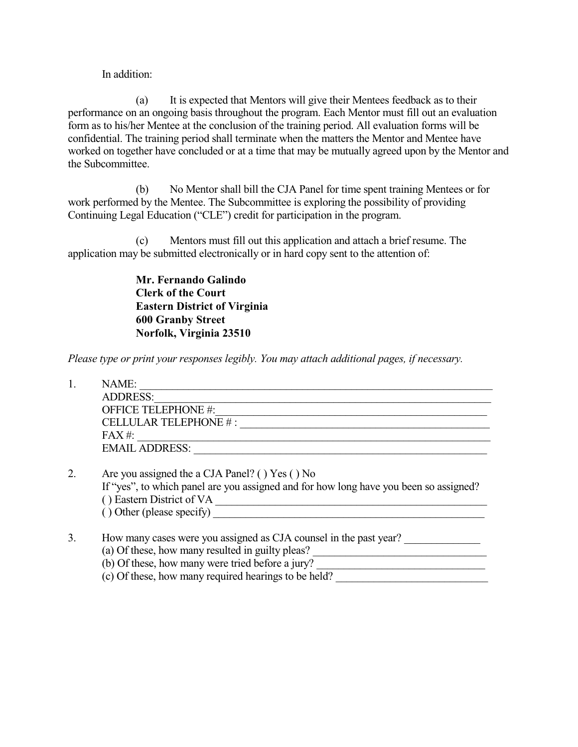In addition:

(a) It is expected that Mentors will give their Mentees feedback as to their performance on an ongoing basis throughout the program. Each Mentor must fill out an evaluation form as to his/her Mentee at the conclusion of the training period. All evaluation forms will be confidential. The training period shall terminate when the matters the Mentor and Mentee have worked on together have concluded or at a time that may be mutually agreed upon by the Mentor and the Subcommittee.

(b) No Mentor shall bill the CJA Panel for time spent training Mentees or for work performed by the Mentee. The Subcommittee is exploring the possibility of providing Continuing Legal Education ("CLE") credit for participation in the program.

(c) Mentors must fill out this application and attach a brief resume. The application may be submitted electronically or in hard copy sent to the attention of:

> **Mr. Fernando Galindo Clerk of the Court Eastern District of Virginia 600 Granby Street Norfolk, Virginia 23510**

*Please type or print your responses legibly. You may attach additional pages, if necessary.*

|    | NAME:                                                                                 |
|----|---------------------------------------------------------------------------------------|
|    | <b>ADDRESS:</b>                                                                       |
|    | OFFICE TELEPHONE #:                                                                   |
|    | CELLULAR TELEPHONE #:                                                                 |
|    | $FAX#$ :                                                                              |
|    | <b>EMAIL ADDRESS:</b>                                                                 |
| 2. | Are you assigned the a CJA Panel? () Yes () No                                        |
|    | If "yes", to which panel are you assigned and for how long have you been so assigned? |
|    | () Eastern District of VA                                                             |
|    | () Other (please specify)                                                             |

3. How many cases were you assigned as CJA counsel in the past year? (a) Of these, how many resulted in guilty pleas? (b) Of these, how many were tried before a jury? (c) Of these, how many required hearings to be held?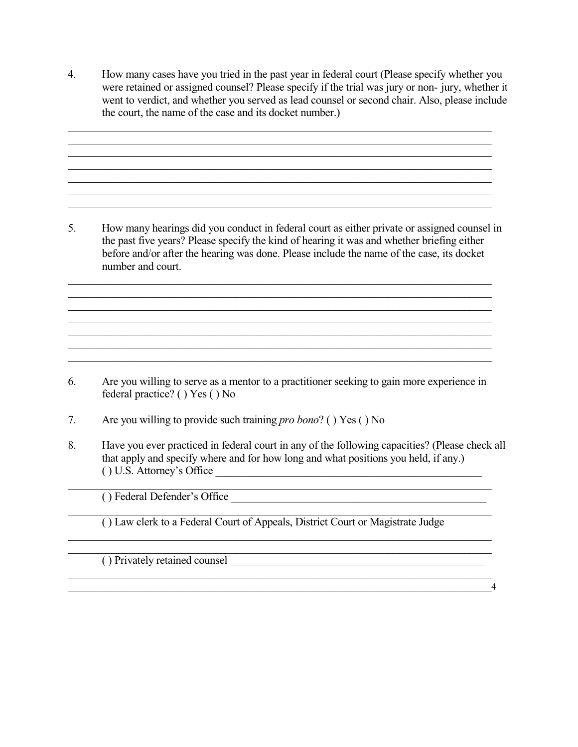4. How many cases have you tried in the past year in federal court (Please specify whether you were retained or assigned counsel? Please specify if the trial was jury or non- jury, whether it went to verdict, and whether you served as lead counsel or second chair. Also, please include the court, the name of the case and its docket number.)

\_\_\_\_\_\_\_\_\_\_\_\_\_\_\_\_\_\_\_\_\_\_\_\_\_\_\_\_\_\_\_\_\_\_\_\_\_\_\_\_\_\_\_\_\_\_\_\_\_\_\_\_\_\_\_\_\_\_\_\_\_\_\_\_\_\_\_\_\_\_\_\_\_\_\_\_\_\_  $\mathcal{L}_\mathcal{L} = \{ \mathcal{L}_\mathcal{L} = \{ \mathcal{L}_\mathcal{L} = \{ \mathcal{L}_\mathcal{L} = \{ \mathcal{L}_\mathcal{L} = \{ \mathcal{L}_\mathcal{L} = \{ \mathcal{L}_\mathcal{L} = \{ \mathcal{L}_\mathcal{L} = \{ \mathcal{L}_\mathcal{L} = \{ \mathcal{L}_\mathcal{L} = \{ \mathcal{L}_\mathcal{L} = \{ \mathcal{L}_\mathcal{L} = \{ \mathcal{L}_\mathcal{L} = \{ \mathcal{L}_\mathcal{L} = \{ \mathcal{L}_\mathcal{$ 

\_\_\_\_\_\_\_\_\_\_\_\_\_\_\_\_\_\_\_\_\_\_\_\_\_\_\_\_\_\_\_\_\_\_\_\_\_\_\_\_\_\_\_\_\_\_\_\_\_\_\_\_\_\_\_\_\_\_\_\_\_\_\_\_\_\_\_\_\_\_\_\_\_\_\_\_\_\_

\_\_\_\_\_\_\_\_\_\_\_\_\_\_\_\_\_\_\_\_\_\_\_\_\_\_\_\_\_\_\_\_\_\_\_\_\_\_\_\_\_\_\_\_\_\_\_\_\_\_\_\_\_\_\_\_\_\_\_\_\_\_\_\_\_\_\_\_\_\_\_\_\_\_\_\_\_\_

5. How many hearings did you conduct in federal court as either private or assigned counsel in the past five years? Please specify the kind of hearing it was and whether briefing either before and/or after the hearing was done. Please include the name of the case, its docket number and court.

\_\_\_\_\_\_\_\_\_\_\_\_\_\_\_\_\_\_\_\_\_\_\_\_\_\_\_\_\_\_\_\_\_\_\_\_\_\_\_\_\_\_\_\_\_\_\_\_\_\_\_\_\_\_\_\_\_\_\_\_\_\_\_\_\_\_\_\_\_\_\_\_\_\_\_\_\_\_ \_\_\_\_\_\_\_\_\_\_\_\_\_\_\_\_\_\_\_\_\_\_\_\_\_\_\_\_\_\_\_\_\_\_\_\_\_\_\_\_\_\_\_\_\_\_\_\_\_\_\_\_\_\_\_\_\_\_\_\_\_\_\_\_\_\_\_\_\_\_\_\_\_\_\_\_\_\_

\_\_\_\_\_\_\_\_\_\_\_\_\_\_\_\_\_\_\_\_\_\_\_\_\_\_\_\_\_\_\_\_\_\_\_\_\_\_\_\_\_\_\_\_\_\_\_\_\_\_\_\_\_\_\_\_\_\_\_\_\_\_\_\_\_\_\_\_\_\_\_\_\_\_\_\_\_\_

\_\_\_\_\_\_\_\_\_\_\_\_\_\_\_\_\_\_\_\_\_\_\_\_\_\_\_\_\_\_\_\_\_\_\_\_\_\_\_\_\_\_\_\_\_\_\_\_\_\_\_\_\_\_\_\_\_\_\_\_\_\_\_\_\_\_\_\_\_\_\_\_\_\_\_\_\_\_ \_\_\_\_\_\_\_\_\_\_\_\_\_\_\_\_\_\_\_\_\_\_\_\_\_\_\_\_\_\_\_\_\_\_\_\_\_\_\_\_\_\_\_\_\_\_\_\_\_\_\_\_\_\_\_\_\_\_\_\_\_\_\_\_\_\_\_\_\_\_\_\_\_\_\_\_\_\_

6. Are you willing to serve as a mentor to a practitioner seeking to gain more experience in federal practice? ( ) Yes ( ) No

\_\_\_\_\_\_\_\_\_\_\_\_\_\_\_\_\_\_\_\_\_\_\_\_\_\_\_\_\_\_\_\_\_\_\_\_\_\_\_\_\_\_\_\_\_\_\_\_\_\_\_\_\_\_\_\_\_\_\_\_\_\_\_\_\_\_\_\_\_\_\_\_\_\_\_\_\_\_

- 7. Are you willing to provide such training *pro bono*? ( ) Yes ( ) No
- 8. Have you ever practiced in federal court in any of the following capacities? (Please check all that apply and specify where and for how long and what positions you held, if any.) ( ) U.S. Attorney's Office

\_\_\_\_\_\_\_\_\_\_\_\_\_\_\_\_\_\_\_\_\_\_\_\_\_\_\_\_\_\_\_\_\_\_\_\_\_\_\_\_\_\_\_\_\_\_\_\_\_\_\_\_\_\_\_\_\_\_\_\_\_\_\_\_\_\_\_\_\_\_\_\_\_\_\_\_\_\_

() Federal Defender's Office

\_\_\_\_\_\_\_\_\_\_\_\_\_\_\_\_\_\_\_\_\_\_\_\_\_\_\_\_\_\_\_\_\_\_\_\_\_\_\_\_\_\_\_\_\_\_\_\_\_\_\_\_\_\_\_\_\_\_\_\_\_\_\_\_\_\_\_\_\_\_\_\_\_\_\_\_\_\_ ( ) Law clerk to a Federal Court of Appeals, District Court or Magistrate Judge

\_\_\_\_\_\_\_\_\_\_\_\_\_\_\_\_\_\_\_\_\_\_\_\_\_\_\_\_\_\_\_\_\_\_\_\_\_\_\_\_\_\_\_\_\_\_\_\_\_\_\_\_\_\_\_\_\_\_\_\_\_\_\_\_\_\_\_\_\_\_\_\_\_\_\_\_\_\_

\_\_\_\_\_\_\_\_\_\_\_\_\_\_\_\_\_\_\_\_\_\_\_\_\_\_\_\_\_\_\_\_\_\_\_\_\_\_\_\_\_\_\_\_\_\_\_\_\_\_\_\_\_\_\_\_\_\_\_\_\_\_\_\_\_\_\_\_\_\_\_\_\_\_\_\_\_\_

( ) Privately retained counsel \_\_\_\_\_\_\_\_\_\_\_\_\_\_\_\_\_\_\_\_\_\_\_\_\_\_\_\_\_\_\_\_\_\_\_\_\_\_\_\_\_\_\_\_\_\_\_

\_\_\_\_\_\_\_\_\_\_\_\_\_\_\_\_\_\_\_\_\_\_\_\_\_\_\_\_\_\_\_\_\_\_\_\_\_\_\_\_\_\_\_\_\_\_\_\_\_\_\_\_\_\_\_\_\_\_\_\_\_\_\_\_\_\_\_\_\_\_\_\_\_\_\_\_\_\_4